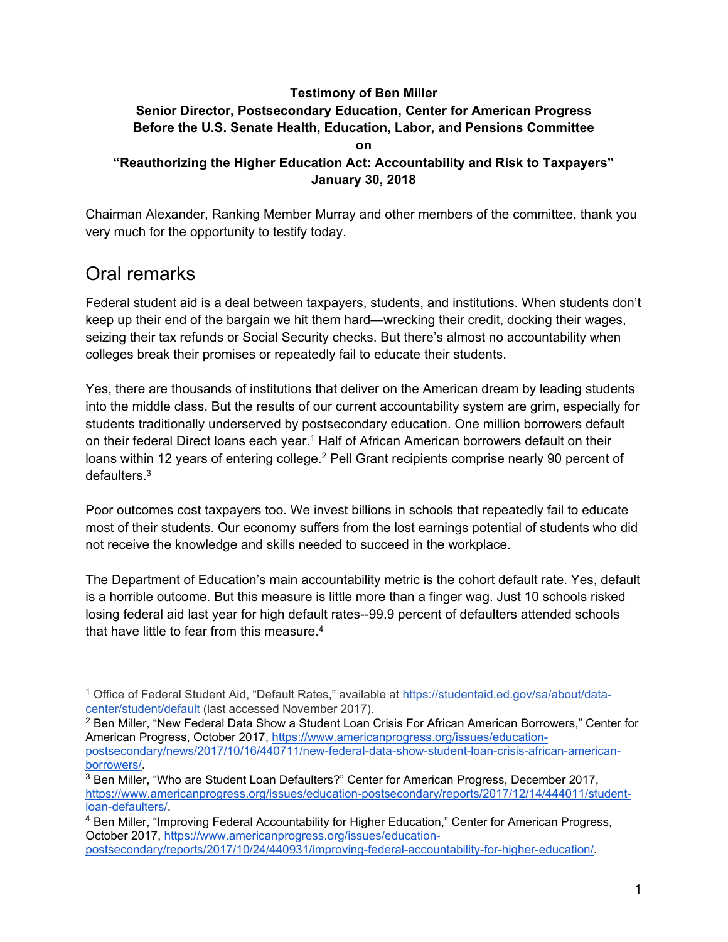#### **Testimony of Ben Miller Senior Director, Postsecondary Education, Center for American Progress Before the U.S. Senate Health, Education, Labor, and Pensions Committee on**

#### **"Reauthorizing the Higher Education Act: Accountability and Risk to Taxpayers" January 30, 2018**

Chairman Alexander, Ranking Member Murray and other members of the committee, thank you very much for the opportunity to testify today.

# Oral remarks

Federal student aid is a deal between taxpayers, students, and institutions. When students don't keep up their end of the bargain we hit them hard—wrecking their credit, docking their wages, seizing their tax refunds or Social Security checks. But there's almost no accountability when colleges break their promises or repeatedly fail to educate their students.

Yes, there are thousands of institutions that deliver on the American dream by leading students into the middle class. But the results of our current accountability system are grim, especially for students traditionally underserved by postsecondary education. One million borrowers default on their federal Direct loans each year.<sup>1</sup> Half of African American borrowers default on their loans within 12 years of entering college.<sup>2</sup> Pell Grant recipients comprise nearly 90 percent of  $\theta$ defaulters  $3$ 

Poor outcomes cost taxpayers too. We invest billions in schools that repeatedly fail to educate most of their students. Our economy suffers from the lost earnings potential of students who did not receive the knowledge and skills needed to succeed in the workplace.

The Department of Education's main accountability metric is the cohort default rate. Yes, default is a horrible outcome. But this measure is little more than a finger wag. Just 10 schools risked losing federal aid last year for high default rates--99.9 percent of defaulters attended schools that have little to fear from this measure. $4$ 

<sup>1</sup> Office of Federal Student Aid, "Default Rates," available at https://studentaid.ed.gov/sa/about/datacenter/student/default (last accessed November 2017).

<sup>2</sup> Ben Miller, "New Federal Data Show a Student Loan Crisis For African American Borrowers," Center for American Progress, October 2017, https://www.americanprogress.org/issues/educationpostsecondary/news/2017/10/16/440711/new-federal-data-show-student-loan-crisis-african-americanborrowers/.<br><sup>3</sup> Ben Miller, "Who are Student Loan Defaulters?" Center for American Progress, December 2017,

https://www.americanprogress.org/issues/education-postsecondary/reports/2017/12/14/444011/studentloan-defaulters/.<br><sup>4</sup> Ben Miller, "Improving Federal Accountability for Higher Education," Center for American Progress,

October 2017, https://www.americanprogress.org/issues/educationpostsecondary/reports/2017/10/24/440931/improving-federal-accountability-for-higher-education/.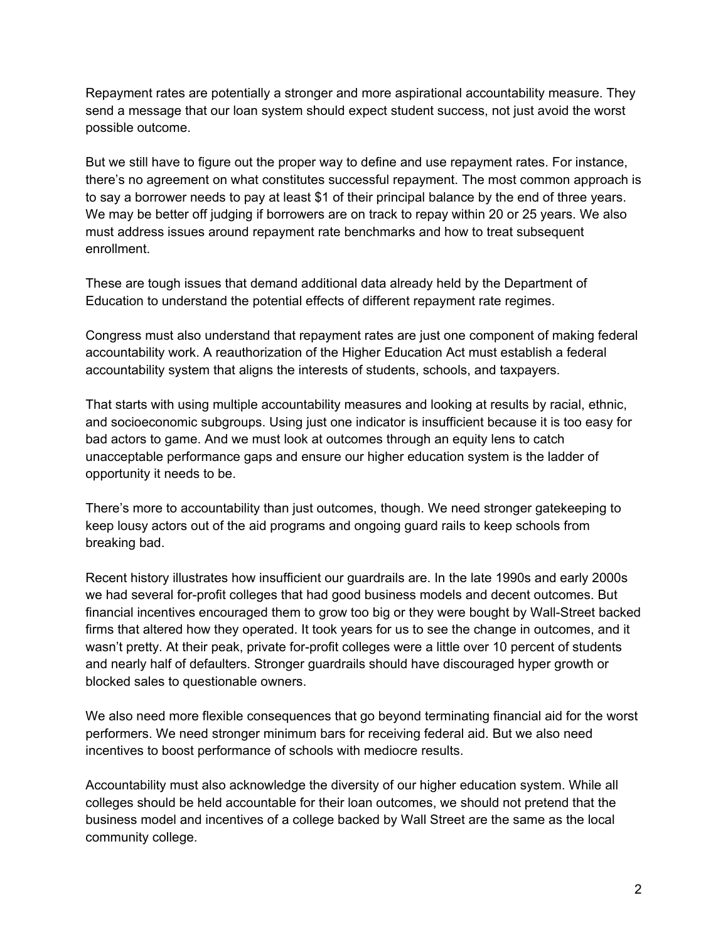Repayment rates are potentially a stronger and more aspirational accountability measure. They send a message that our loan system should expect student success, not just avoid the worst possible outcome.

But we still have to figure out the proper way to define and use repayment rates. For instance, there's no agreement on what constitutes successful repayment. The most common approach is to say a borrower needs to pay at least \$1 of their principal balance by the end of three years. We may be better off judging if borrowers are on track to repay within 20 or 25 years. We also must address issues around repayment rate benchmarks and how to treat subsequent enrollment.

These are tough issues that demand additional data already held by the Department of Education to understand the potential effects of different repayment rate regimes.

Congress must also understand that repayment rates are just one component of making federal accountability work. A reauthorization of the Higher Education Act must establish a federal accountability system that aligns the interests of students, schools, and taxpayers.

That starts with using multiple accountability measures and looking at results by racial, ethnic, and socioeconomic subgroups. Using just one indicator is insufficient because it is too easy for bad actors to game. And we must look at outcomes through an equity lens to catch unacceptable performance gaps and ensure our higher education system is the ladder of opportunity it needs to be.

There's more to accountability than just outcomes, though. We need stronger gatekeeping to keep lousy actors out of the aid programs and ongoing guard rails to keep schools from breaking bad.

Recent history illustrates how insufficient our guardrails are. In the late 1990s and early 2000s we had several for-profit colleges that had good business models and decent outcomes. But financial incentives encouraged them to grow too big or they were bought by Wall-Street backed firms that altered how they operated. It took years for us to see the change in outcomes, and it wasn't pretty. At their peak, private for-profit colleges were a little over 10 percent of students and nearly half of defaulters. Stronger guardrails should have discouraged hyper growth or blocked sales to questionable owners.

We also need more flexible consequences that go beyond terminating financial aid for the worst performers. We need stronger minimum bars for receiving federal aid. But we also need incentives to boost performance of schools with mediocre results.

Accountability must also acknowledge the diversity of our higher education system. While all colleges should be held accountable for their loan outcomes, we should not pretend that the business model and incentives of a college backed by Wall Street are the same as the local community college.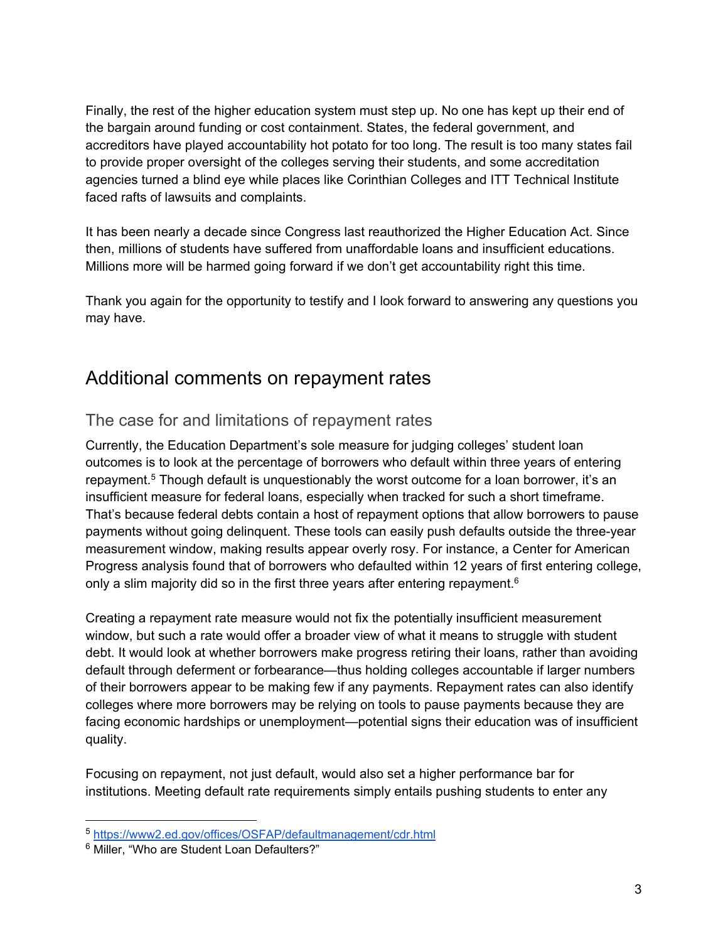Finally, the rest of the higher education system must step up. No one has kept up their end of the bargain around funding or cost containment. States, the federal government, and accreditors have played accountability hot potato for too long. The result is too many states fail to provide proper oversight of the colleges serving their students, and some accreditation agencies turned a blind eye while places like Corinthian Colleges and ITT Technical Institute faced rafts of lawsuits and complaints.

It has been nearly a decade since Congress last reauthorized the Higher Education Act. Since then, millions of students have suffered from unaffordable loans and insufficient educations. Millions more will be harmed going forward if we don't get accountability right this time.

Thank you again for the opportunity to testify and I look forward to answering any questions you may have.

# Additional comments on repayment rates

### The case for and limitations of repayment rates

Currently, the Education Department's sole measure for judging colleges' student loan outcomes is to look at the percentage of borrowers who default within three years of entering repayment.<sup>5</sup> Though default is unquestionably the worst outcome for a loan borrower, it's an insufficient measure for federal loans, especially when tracked for such a short timeframe. That's because federal debts contain a host of repayment options that allow borrowers to pause payments without going delinquent. These tools can easily push defaults outside the three-year measurement window, making results appear overly rosy. For instance, a Center for American Progress analysis found that of borrowers who defaulted within 12 years of first entering college, only a slim majority did so in the first three years after entering repayment.<sup>6</sup>

Creating a repayment rate measure would not fix the potentially insufficient measurement window, but such a rate would offer a broader view of what it means to struggle with student debt. It would look at whether borrowers make progress retiring their loans, rather than avoiding default through deferment or forbearance—thus holding colleges accountable if larger numbers of their borrowers appear to be making few if any payments. Repayment rates can also identify colleges where more borrowers may be relying on tools to pause payments because they are facing economic hardships or unemployment—potential signs their education was of insufficient quality.

Focusing on repayment, not just default, would also set a higher performance bar for institutions. Meeting default rate requirements simply entails pushing students to enter any

-

<sup>5</sup> https://www2.ed.gov/offices/OSFAP/defaultmanagement/cdr.html 6 Miller, "Who are Student Loan Defaulters?"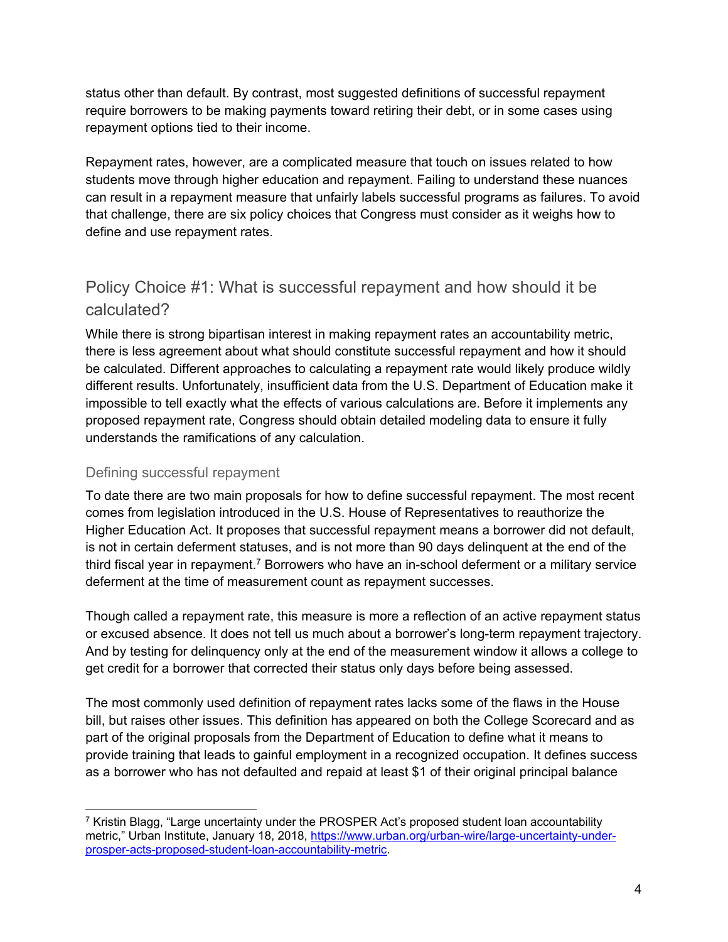status other than default. By contrast, most suggested definitions of successful repayment require borrowers to be making payments toward retiring their debt, or in some cases using repayment options tied to their income.

Repayment rates, however, are a complicated measure that touch on issues related to how students move through higher education and repayment. Failing to understand these nuances can result in a repayment measure that unfairly labels successful programs as failures. To avoid that challenge, there are six policy choices that Congress must consider as it weighs how to define and use repayment rates.

### Policy Choice #1: What is successful repayment and how should it be calculated?

While there is strong bipartisan interest in making repayment rates an accountability metric, there is less agreement about what should constitute successful repayment and how it should be calculated. Different approaches to calculating a repayment rate would likely produce wildly different results. Unfortunately, insufficient data from the U.S. Department of Education make it impossible to tell exactly what the effects of various calculations are. Before it implements any proposed repayment rate, Congress should obtain detailed modeling data to ensure it fully understands the ramifications of any calculation.

#### Defining successful repayment

To date there are two main proposals for how to define successful repayment. The most recent comes from legislation introduced in the U.S. House of Representatives to reauthorize the Higher Education Act. It proposes that successful repayment means a borrower did not default, is not in certain deferment statuses, and is not more than 90 days delinquent at the end of the third fiscal year in repayment.7 Borrowers who have an in-school deferment or a military service deferment at the time of measurement count as repayment successes.

Though called a repayment rate, this measure is more a reflection of an active repayment status or excused absence. It does not tell us much about a borrower's long-term repayment trajectory. And by testing for delinquency only at the end of the measurement window it allows a college to get credit for a borrower that corrected their status only days before being assessed.

The most commonly used definition of repayment rates lacks some of the flaws in the House bill, but raises other issues. This definition has appeared on both the College Scorecard and as part of the original proposals from the Department of Education to define what it means to provide training that leads to gainful employment in a recognized occupation. It defines success as a borrower who has not defaulted and repaid at least \$1 of their original principal balance

<sup>-</sup> $7$  Kristin Blagg, "Large uncertainty under the PROSPER Act's proposed student loan accountability metric," Urban Institute, January 18, 2018, https://www.urban.org/urban-wire/large-uncertainty-underprosper-acts-proposed-student-loan-accountability-metric.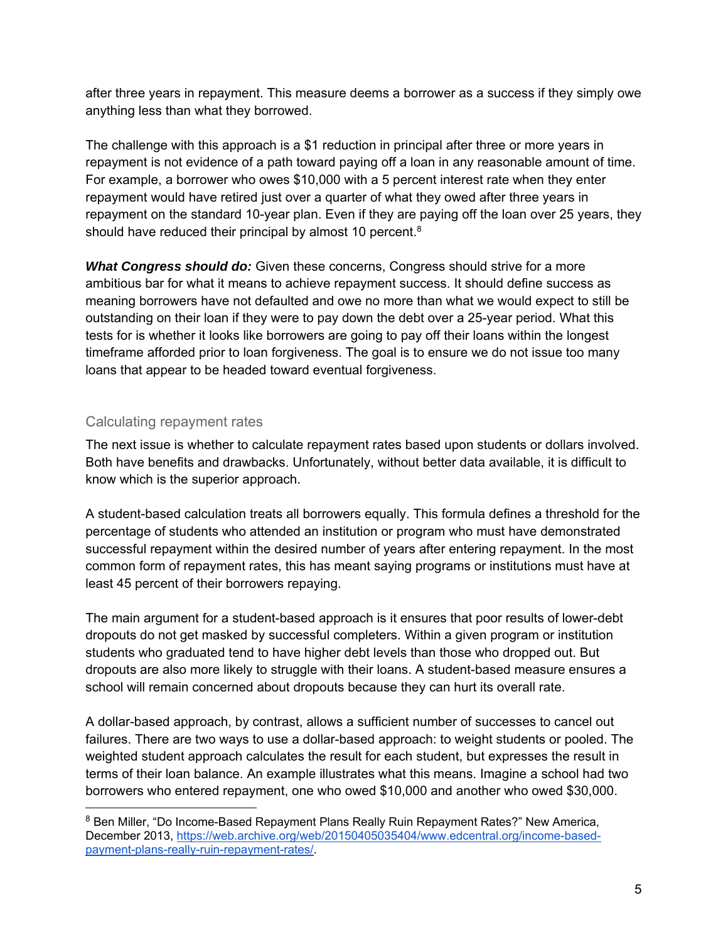after three years in repayment. This measure deems a borrower as a success if they simply owe anything less than what they borrowed.

The challenge with this approach is a \$1 reduction in principal after three or more years in repayment is not evidence of a path toward paying off a loan in any reasonable amount of time. For example, a borrower who owes \$10,000 with a 5 percent interest rate when they enter repayment would have retired just over a quarter of what they owed after three years in repayment on the standard 10-year plan. Even if they are paying off the loan over 25 years, they should have reduced their principal by almost 10 percent.<sup>8</sup>

*What Congress should do:* Given these concerns, Congress should strive for a more ambitious bar for what it means to achieve repayment success. It should define success as meaning borrowers have not defaulted and owe no more than what we would expect to still be outstanding on their loan if they were to pay down the debt over a 25-year period. What this tests for is whether it looks like borrowers are going to pay off their loans within the longest timeframe afforded prior to loan forgiveness. The goal is to ensure we do not issue too many loans that appear to be headed toward eventual forgiveness.

#### Calculating repayment rates

 $\overline{a}$ 

The next issue is whether to calculate repayment rates based upon students or dollars involved. Both have benefits and drawbacks. Unfortunately, without better data available, it is difficult to know which is the superior approach.

A student-based calculation treats all borrowers equally. This formula defines a threshold for the percentage of students who attended an institution or program who must have demonstrated successful repayment within the desired number of years after entering repayment. In the most common form of repayment rates, this has meant saying programs or institutions must have at least 45 percent of their borrowers repaying.

The main argument for a student-based approach is it ensures that poor results of lower-debt dropouts do not get masked by successful completers. Within a given program or institution students who graduated tend to have higher debt levels than those who dropped out. But dropouts are also more likely to struggle with their loans. A student-based measure ensures a school will remain concerned about dropouts because they can hurt its overall rate.

A dollar-based approach, by contrast, allows a sufficient number of successes to cancel out failures. There are two ways to use a dollar-based approach: to weight students or pooled. The weighted student approach calculates the result for each student, but expresses the result in terms of their loan balance. An example illustrates what this means. Imagine a school had two borrowers who entered repayment, one who owed \$10,000 and another who owed \$30,000.

<sup>8</sup> Ben Miller, "Do Income-Based Repayment Plans Really Ruin Repayment Rates?" New America, December 2013, https://web.archive.org/web/20150405035404/www.edcentral.org/income-basedpayment-plans-really-ruin-repayment-rates/.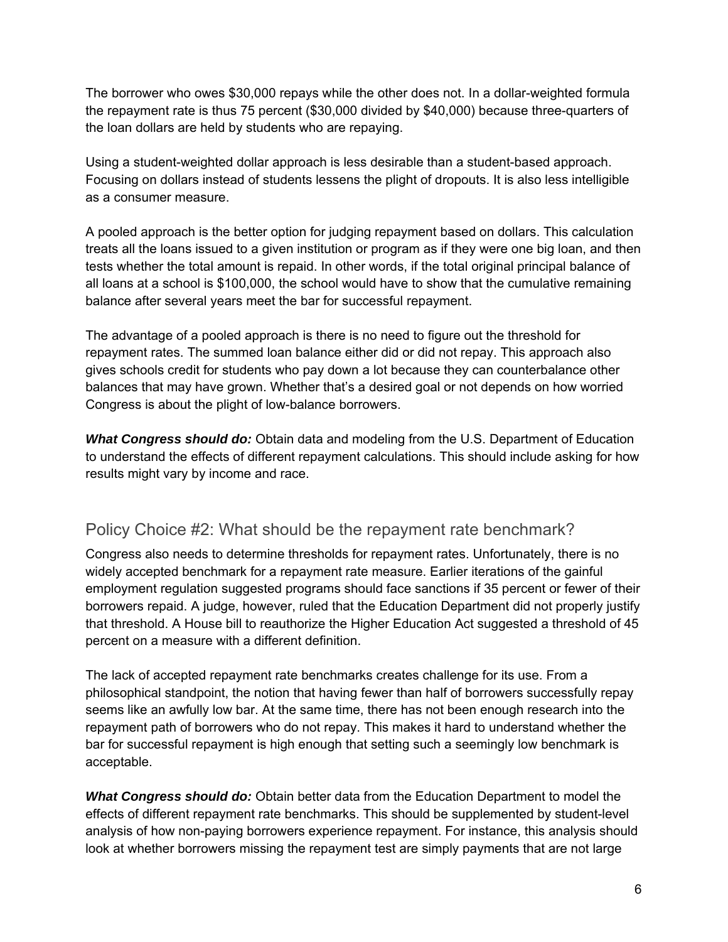The borrower who owes \$30,000 repays while the other does not. In a dollar-weighted formula the repayment rate is thus 75 percent (\$30,000 divided by \$40,000) because three-quarters of the loan dollars are held by students who are repaying.

Using a student-weighted dollar approach is less desirable than a student-based approach. Focusing on dollars instead of students lessens the plight of dropouts. It is also less intelligible as a consumer measure.

A pooled approach is the better option for judging repayment based on dollars. This calculation treats all the loans issued to a given institution or program as if they were one big loan, and then tests whether the total amount is repaid. In other words, if the total original principal balance of all loans at a school is \$100,000, the school would have to show that the cumulative remaining balance after several years meet the bar for successful repayment.

The advantage of a pooled approach is there is no need to figure out the threshold for repayment rates. The summed loan balance either did or did not repay. This approach also gives schools credit for students who pay down a lot because they can counterbalance other balances that may have grown. Whether that's a desired goal or not depends on how worried Congress is about the plight of low-balance borrowers.

*What Congress should do:* Obtain data and modeling from the U.S. Department of Education to understand the effects of different repayment calculations. This should include asking for how results might vary by income and race.

### Policy Choice #2: What should be the repayment rate benchmark?

Congress also needs to determine thresholds for repayment rates. Unfortunately, there is no widely accepted benchmark for a repayment rate measure. Earlier iterations of the gainful employment regulation suggested programs should face sanctions if 35 percent or fewer of their borrowers repaid. A judge, however, ruled that the Education Department did not properly justify that threshold. A House bill to reauthorize the Higher Education Act suggested a threshold of 45 percent on a measure with a different definition.

The lack of accepted repayment rate benchmarks creates challenge for its use. From a philosophical standpoint, the notion that having fewer than half of borrowers successfully repay seems like an awfully low bar. At the same time, there has not been enough research into the repayment path of borrowers who do not repay. This makes it hard to understand whether the bar for successful repayment is high enough that setting such a seemingly low benchmark is acceptable.

*What Congress should do:* Obtain better data from the Education Department to model the effects of different repayment rate benchmarks. This should be supplemented by student-level analysis of how non-paying borrowers experience repayment. For instance, this analysis should look at whether borrowers missing the repayment test are simply payments that are not large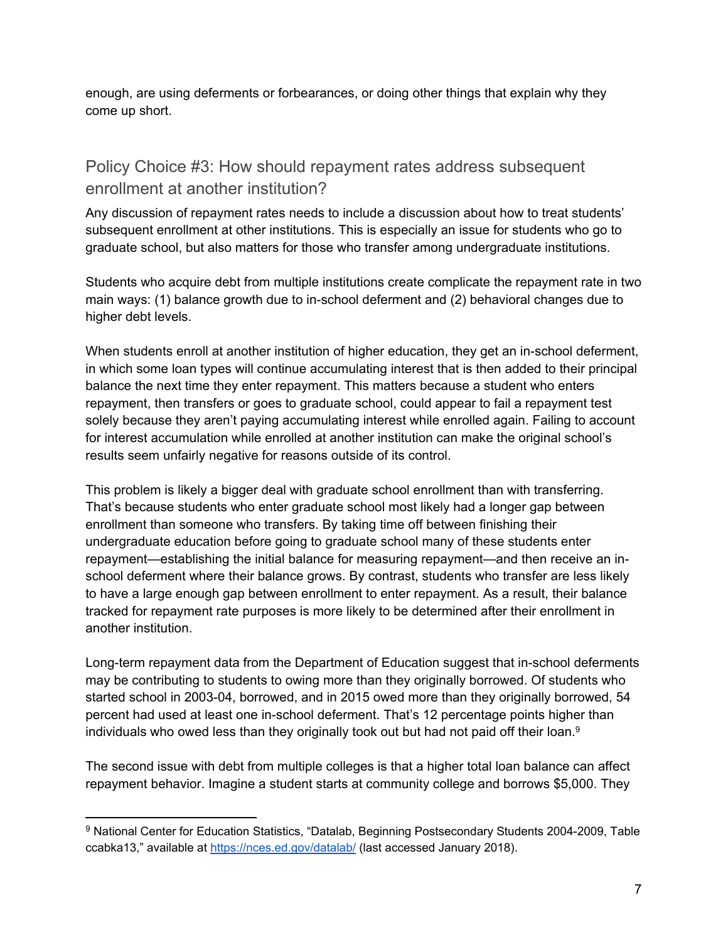enough, are using deferments or forbearances, or doing other things that explain why they come up short.

# Policy Choice #3: How should repayment rates address subsequent enrollment at another institution?

Any discussion of repayment rates needs to include a discussion about how to treat students' subsequent enrollment at other institutions. This is especially an issue for students who go to graduate school, but also matters for those who transfer among undergraduate institutions.

Students who acquire debt from multiple institutions create complicate the repayment rate in two main ways: (1) balance growth due to in-school deferment and (2) behavioral changes due to higher debt levels.

When students enroll at another institution of higher education, they get an in-school deferment, in which some loan types will continue accumulating interest that is then added to their principal balance the next time they enter repayment. This matters because a student who enters repayment, then transfers or goes to graduate school, could appear to fail a repayment test solely because they aren't paying accumulating interest while enrolled again. Failing to account for interest accumulation while enrolled at another institution can make the original school's results seem unfairly negative for reasons outside of its control.

This problem is likely a bigger deal with graduate school enrollment than with transferring. That's because students who enter graduate school most likely had a longer gap between enrollment than someone who transfers. By taking time off between finishing their undergraduate education before going to graduate school many of these students enter repayment—establishing the initial balance for measuring repayment—and then receive an inschool deferment where their balance grows. By contrast, students who transfer are less likely to have a large enough gap between enrollment to enter repayment. As a result, their balance tracked for repayment rate purposes is more likely to be determined after their enrollment in another institution.

Long-term repayment data from the Department of Education suggest that in-school deferments may be contributing to students to owing more than they originally borrowed. Of students who started school in 2003-04, borrowed, and in 2015 owed more than they originally borrowed, 54 percent had used at least one in-school deferment. That's 12 percentage points higher than individuals who owed less than they originally took out but had not paid off their loan.<sup>9</sup>

The second issue with debt from multiple colleges is that a higher total loan balance can affect repayment behavior. Imagine a student starts at community college and borrows \$5,000. They

<sup>9</sup> National Center for Education Statistics, "Datalab, Beginning Postsecondary Students 2004-2009, Table ccabka13," available at https://nces.ed.gov/datalab/ (last accessed January 2018).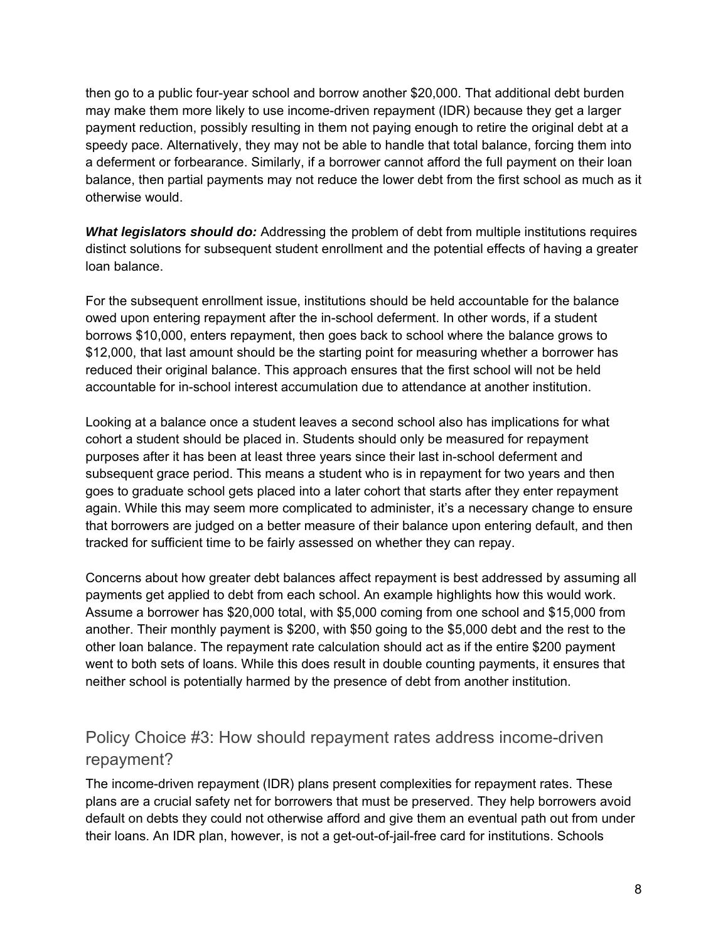then go to a public four-year school and borrow another \$20,000. That additional debt burden may make them more likely to use income-driven repayment (IDR) because they get a larger payment reduction, possibly resulting in them not paying enough to retire the original debt at a speedy pace. Alternatively, they may not be able to handle that total balance, forcing them into a deferment or forbearance. Similarly, if a borrower cannot afford the full payment on their loan balance, then partial payments may not reduce the lower debt from the first school as much as it otherwise would.

*What legislators should do:* Addressing the problem of debt from multiple institutions requires distinct solutions for subsequent student enrollment and the potential effects of having a greater loan balance.

For the subsequent enrollment issue, institutions should be held accountable for the balance owed upon entering repayment after the in-school deferment. In other words, if a student borrows \$10,000, enters repayment, then goes back to school where the balance grows to \$12,000, that last amount should be the starting point for measuring whether a borrower has reduced their original balance. This approach ensures that the first school will not be held accountable for in-school interest accumulation due to attendance at another institution.

Looking at a balance once a student leaves a second school also has implications for what cohort a student should be placed in. Students should only be measured for repayment purposes after it has been at least three years since their last in-school deferment and subsequent grace period. This means a student who is in repayment for two years and then goes to graduate school gets placed into a later cohort that starts after they enter repayment again. While this may seem more complicated to administer, it's a necessary change to ensure that borrowers are judged on a better measure of their balance upon entering default, and then tracked for sufficient time to be fairly assessed on whether they can repay.

Concerns about how greater debt balances affect repayment is best addressed by assuming all payments get applied to debt from each school. An example highlights how this would work. Assume a borrower has \$20,000 total, with \$5,000 coming from one school and \$15,000 from another. Their monthly payment is \$200, with \$50 going to the \$5,000 debt and the rest to the other loan balance. The repayment rate calculation should act as if the entire \$200 payment went to both sets of loans. While this does result in double counting payments, it ensures that neither school is potentially harmed by the presence of debt from another institution.

# Policy Choice #3: How should repayment rates address income-driven repayment?

The income-driven repayment (IDR) plans present complexities for repayment rates. These plans are a crucial safety net for borrowers that must be preserved. They help borrowers avoid default on debts they could not otherwise afford and give them an eventual path out from under their loans. An IDR plan, however, is not a get-out-of-jail-free card for institutions. Schools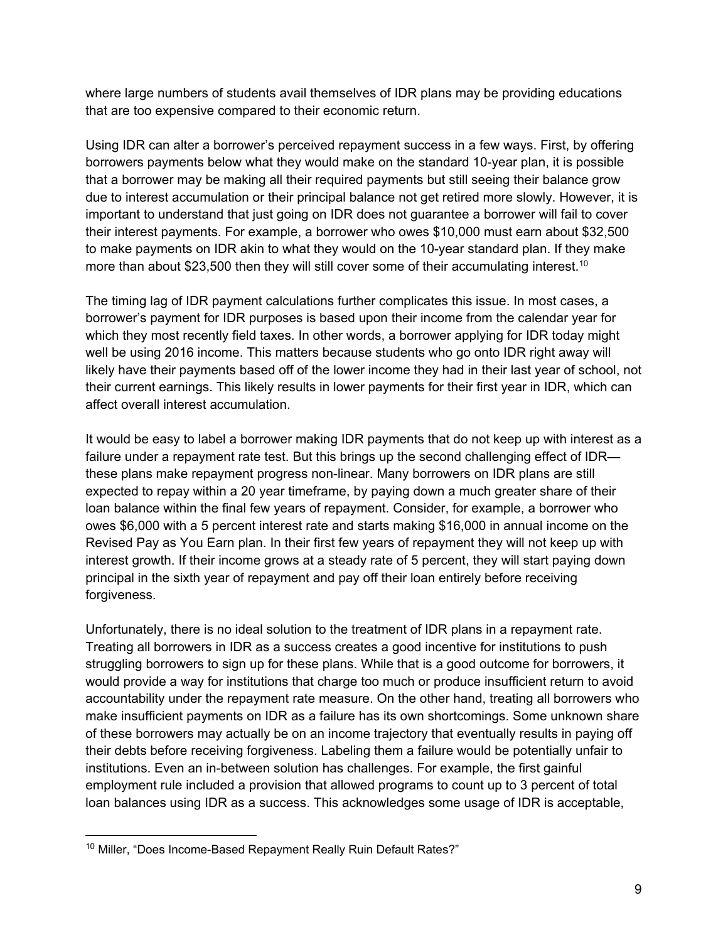where large numbers of students avail themselves of IDR plans may be providing educations that are too expensive compared to their economic return.

Using IDR can alter a borrower's perceived repayment success in a few ways. First, by offering borrowers payments below what they would make on the standard 10-year plan, it is possible that a borrower may be making all their required payments but still seeing their balance grow due to interest accumulation or their principal balance not get retired more slowly. However, it is important to understand that just going on IDR does not guarantee a borrower will fail to cover their interest payments. For example, a borrower who owes \$10,000 must earn about \$32,500 to make payments on IDR akin to what they would on the 10-year standard plan. If they make more than about \$23,500 then they will still cover some of their accumulating interest.<sup>10</sup>

The timing lag of IDR payment calculations further complicates this issue. In most cases, a borrower's payment for IDR purposes is based upon their income from the calendar year for which they most recently field taxes. In other words, a borrower applying for IDR today might well be using 2016 income. This matters because students who go onto IDR right away will likely have their payments based off of the lower income they had in their last year of school, not their current earnings. This likely results in lower payments for their first year in IDR, which can affect overall interest accumulation.

It would be easy to label a borrower making IDR payments that do not keep up with interest as a failure under a repayment rate test. But this brings up the second challenging effect of IDR these plans make repayment progress non-linear. Many borrowers on IDR plans are still expected to repay within a 20 year timeframe, by paying down a much greater share of their loan balance within the final few years of repayment. Consider, for example, a borrower who owes \$6,000 with a 5 percent interest rate and starts making \$16,000 in annual income on the Revised Pay as You Earn plan. In their first few years of repayment they will not keep up with interest growth. If their income grows at a steady rate of 5 percent, they will start paying down principal in the sixth year of repayment and pay off their loan entirely before receiving forgiveness.

Unfortunately, there is no ideal solution to the treatment of IDR plans in a repayment rate. Treating all borrowers in IDR as a success creates a good incentive for institutions to push struggling borrowers to sign up for these plans. While that is a good outcome for borrowers, it would provide a way for institutions that charge too much or produce insufficient return to avoid accountability under the repayment rate measure. On the other hand, treating all borrowers who make insufficient payments on IDR as a failure has its own shortcomings. Some unknown share of these borrowers may actually be on an income trajectory that eventually results in paying off their debts before receiving forgiveness. Labeling them a failure would be potentially unfair to institutions. Even an in-between solution has challenges. For example, the first gainful employment rule included a provision that allowed programs to count up to 3 percent of total loan balances using IDR as a success. This acknowledges some usage of IDR is acceptable,

-

<sup>&</sup>lt;sup>10</sup> Miller, "Does Income-Based Repayment Really Ruin Default Rates?"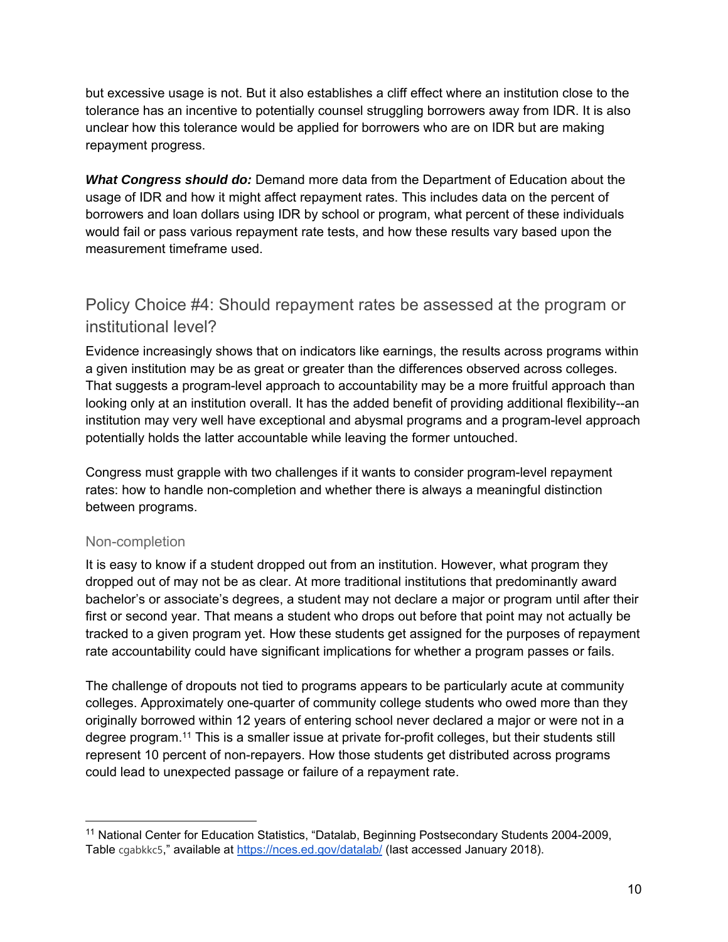but excessive usage is not. But it also establishes a cliff effect where an institution close to the tolerance has an incentive to potentially counsel struggling borrowers away from IDR. It is also unclear how this tolerance would be applied for borrowers who are on IDR but are making repayment progress.

*What Congress should do:* Demand more data from the Department of Education about the usage of IDR and how it might affect repayment rates. This includes data on the percent of borrowers and loan dollars using IDR by school or program, what percent of these individuals would fail or pass various repayment rate tests, and how these results vary based upon the measurement timeframe used.

### Policy Choice #4: Should repayment rates be assessed at the program or institutional level?

Evidence increasingly shows that on indicators like earnings, the results across programs within a given institution may be as great or greater than the differences observed across colleges. That suggests a program-level approach to accountability may be a more fruitful approach than looking only at an institution overall. It has the added benefit of providing additional flexibility--an institution may very well have exceptional and abysmal programs and a program-level approach potentially holds the latter accountable while leaving the former untouched.

Congress must grapple with two challenges if it wants to consider program-level repayment rates: how to handle non-completion and whether there is always a meaningful distinction between programs.

#### Non-completion

It is easy to know if a student dropped out from an institution. However, what program they dropped out of may not be as clear. At more traditional institutions that predominantly award bachelor's or associate's degrees, a student may not declare a major or program until after their first or second year. That means a student who drops out before that point may not actually be tracked to a given program yet. How these students get assigned for the purposes of repayment rate accountability could have significant implications for whether a program passes or fails.

The challenge of dropouts not tied to programs appears to be particularly acute at community colleges. Approximately one-quarter of community college students who owed more than they originally borrowed within 12 years of entering school never declared a major or were not in a degree program.11 This is a smaller issue at private for-profit colleges, but their students still represent 10 percent of non-repayers. How those students get distributed across programs could lead to unexpected passage or failure of a repayment rate.

<sup>&</sup>lt;sup>11</sup> National Center for Education Statistics, "Datalab, Beginning Postsecondary Students 2004-2009, Table cgabkkc5," available at https://nces.ed.gov/datalab/ (last accessed January 2018).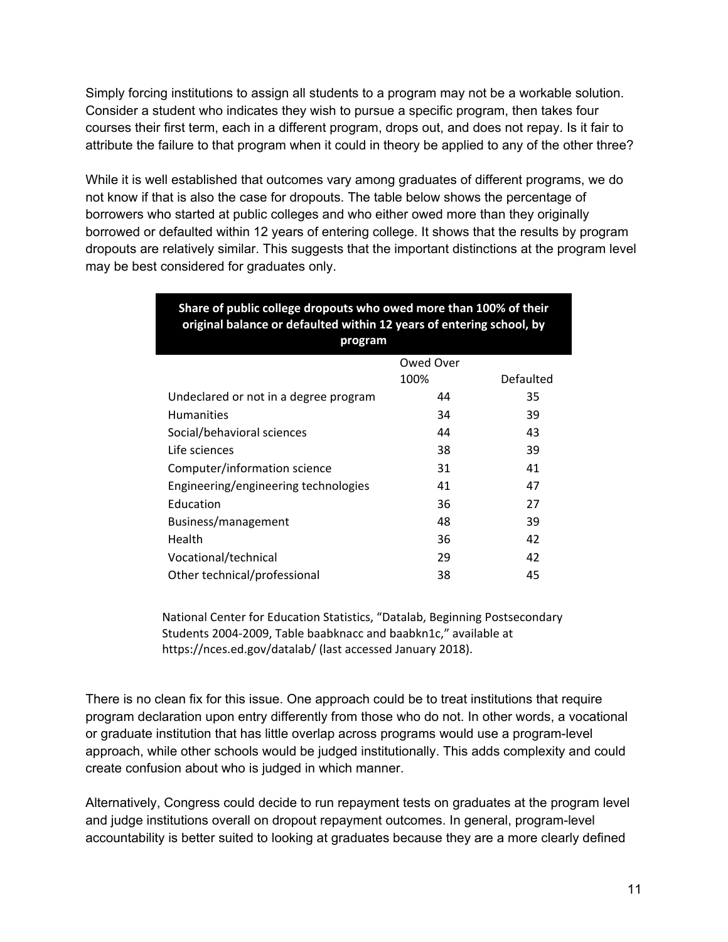Simply forcing institutions to assign all students to a program may not be a workable solution. Consider a student who indicates they wish to pursue a specific program, then takes four courses their first term, each in a different program, drops out, and does not repay. Is it fair to attribute the failure to that program when it could in theory be applied to any of the other three?

While it is well established that outcomes vary among graduates of different programs, we do not know if that is also the case for dropouts. The table below shows the percentage of borrowers who started at public colleges and who either owed more than they originally borrowed or defaulted within 12 years of entering college. It shows that the results by program dropouts are relatively similar. This suggests that the important distinctions at the program level may be best considered for graduates only.

| Share of public college dropouts who owed more than 100% of their<br>original balance or defaulted within 12 years of entering school, by<br>program |           |           |
|------------------------------------------------------------------------------------------------------------------------------------------------------|-----------|-----------|
|                                                                                                                                                      | Owed Over |           |
|                                                                                                                                                      | 100%      | Defaulted |
| Undeclared or not in a degree program                                                                                                                | 44        | 35        |
| <b>Humanities</b>                                                                                                                                    | 34        | 39        |
| Social/behavioral sciences                                                                                                                           | 44        | 43        |
| Life sciences                                                                                                                                        | 38        | 39        |
| Computer/information science                                                                                                                         | 31        | 41        |
| Engineering/engineering technologies                                                                                                                 | 41        | 47        |
| Education                                                                                                                                            | 36        | 27        |
| Business/management                                                                                                                                  | 48        | 39        |
| Health                                                                                                                                               | 36        | 42        |
| Vocational/technical                                                                                                                                 | 29        | 42        |
| Other technical/professional                                                                                                                         | 38        | 45        |

National Center for Education Statistics, "Datalab, Beginning Postsecondary Students 2004‐2009, Table baabknacc and baabkn1c," available at https://nces.ed.gov/datalab/ (last accessed January 2018).

There is no clean fix for this issue. One approach could be to treat institutions that require program declaration upon entry differently from those who do not. In other words, a vocational or graduate institution that has little overlap across programs would use a program-level approach, while other schools would be judged institutionally. This adds complexity and could create confusion about who is judged in which manner.

Alternatively, Congress could decide to run repayment tests on graduates at the program level and judge institutions overall on dropout repayment outcomes. In general, program-level accountability is better suited to looking at graduates because they are a more clearly defined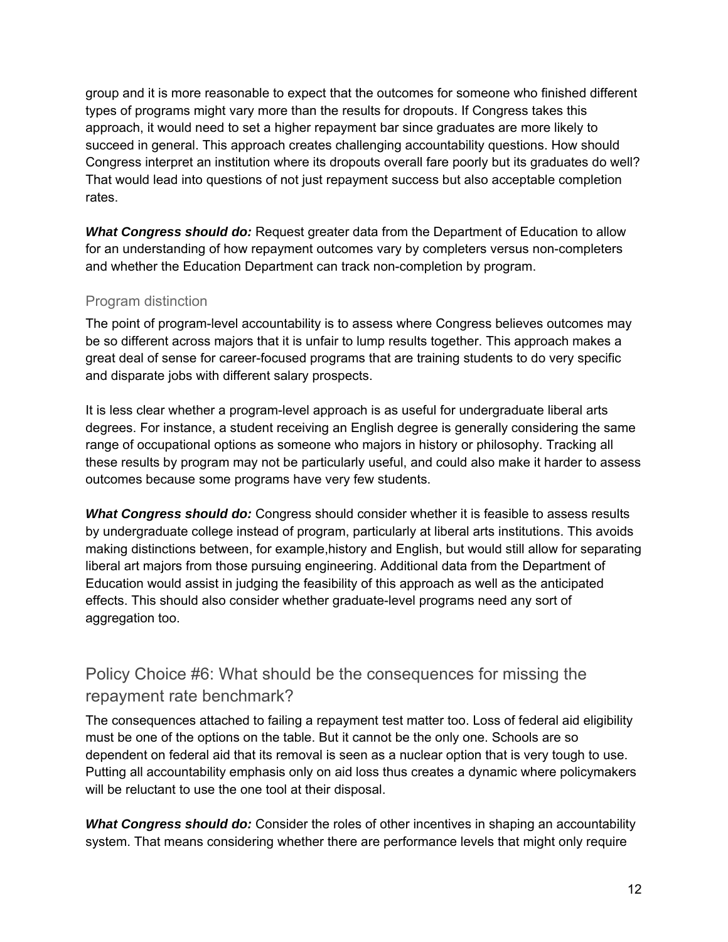group and it is more reasonable to expect that the outcomes for someone who finished different types of programs might vary more than the results for dropouts. If Congress takes this approach, it would need to set a higher repayment bar since graduates are more likely to succeed in general. This approach creates challenging accountability questions. How should Congress interpret an institution where its dropouts overall fare poorly but its graduates do well? That would lead into questions of not just repayment success but also acceptable completion rates.

*What Congress should do:* Request greater data from the Department of Education to allow for an understanding of how repayment outcomes vary by completers versus non-completers and whether the Education Department can track non-completion by program.

#### Program distinction

The point of program-level accountability is to assess where Congress believes outcomes may be so different across majors that it is unfair to lump results together. This approach makes a great deal of sense for career-focused programs that are training students to do very specific and disparate jobs with different salary prospects.

It is less clear whether a program-level approach is as useful for undergraduate liberal arts degrees. For instance, a student receiving an English degree is generally considering the same range of occupational options as someone who majors in history or philosophy. Tracking all these results by program may not be particularly useful, and could also make it harder to assess outcomes because some programs have very few students.

*What Congress should do:* Congress should consider whether it is feasible to assess results by undergraduate college instead of program, particularly at liberal arts institutions. This avoids making distinctions between, for example,history and English, but would still allow for separating liberal art majors from those pursuing engineering. Additional data from the Department of Education would assist in judging the feasibility of this approach as well as the anticipated effects. This should also consider whether graduate-level programs need any sort of aggregation too.

# Policy Choice #6: What should be the consequences for missing the repayment rate benchmark?

The consequences attached to failing a repayment test matter too. Loss of federal aid eligibility must be one of the options on the table. But it cannot be the only one. Schools are so dependent on federal aid that its removal is seen as a nuclear option that is very tough to use. Putting all accountability emphasis only on aid loss thus creates a dynamic where policymakers will be reluctant to use the one tool at their disposal.

*What Congress should do:* Consider the roles of other incentives in shaping an accountability system. That means considering whether there are performance levels that might only require